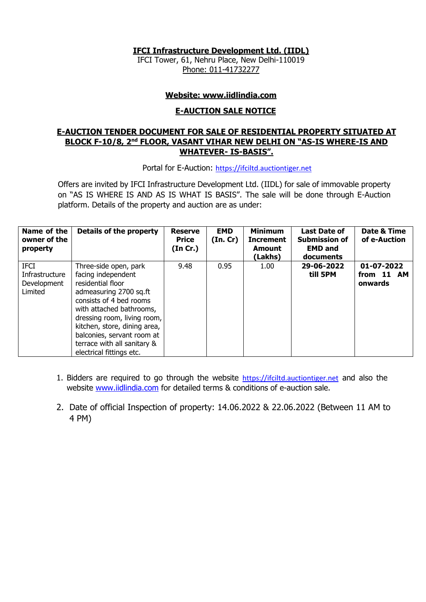**IFCI Infrastructure Development Ltd. (IIDL)** 

IFCI Tower, 61, Nehru Place, New Delhi-110019 Phone: 011-41732277

#### **Website: www.iidlindia.com**

#### **E-AUCTION SALE NOTICE**

## **E-AUCTION TENDER DOCUMENT FOR SALE OF RESIDENTIAL PROPERTY SITUATED AT BLOCK F-10/8, 2nd FLOOR, VASANT VIHAR NEW DELHI ON "AS-IS WHERE-IS AND WHATEVER- IS-BASIS".**

Portal for E-Auction: [https://ifciltd.auctiontiger.net](https://ifciltd.auctiontiger.net/)

Offers are invited by IFCI Infrastructure Development Ltd. (IIDL) for sale of immovable property on "AS IS WHERE IS AND AS IS WHAT IS BASIS". The sale will be done through E-Auction platform. Details of the property and auction are as under:

| Name of the<br>owner of the<br>property                 | Details of the property                                                                                                                                                                                                                                                                                     | <b>Reserve</b><br><b>Price</b><br>(In Cr.) | <b>EMD</b><br>(In.Cr) | <b>Minimum</b><br><b>Increment</b><br>Amount<br>(Lakhs) | <b>Last Date of</b><br><b>Submission of</b><br><b>EMD and</b><br>documents | Date & Time<br>of e-Auction         |
|---------------------------------------------------------|-------------------------------------------------------------------------------------------------------------------------------------------------------------------------------------------------------------------------------------------------------------------------------------------------------------|--------------------------------------------|-----------------------|---------------------------------------------------------|----------------------------------------------------------------------------|-------------------------------------|
| <b>IFCI</b><br>Infrastructure<br>Development<br>Limited | Three-side open, park<br>facing independent<br>residential floor<br>admeasuring 2700 sq.ft<br>consists of 4 bed rooms<br>with attached bathrooms,<br>dressing room, living room,  <br>kitchen, store, dining area,<br>balconies, servant room at<br>terrace with all sanitary &<br>electrical fittings etc. | 9.48                                       | 0.95                  | 1.00                                                    | 29-06-2022<br>till 5PM                                                     | 01-07-2022<br>from 11 AM<br>onwards |

- 1. Bidders are required to go through the website [https://ifciltd.auctiontiger.net](https://ifciltd.auctiontiger.net/) and also the website [www.iidlindia.com](http://www.iidlindia.com/) for detailed terms & conditions of e-auction sale.
- 2. Date of official Inspection of property: 14.06.2022 & 22.06.2022 (Between 11 AM to 4 PM)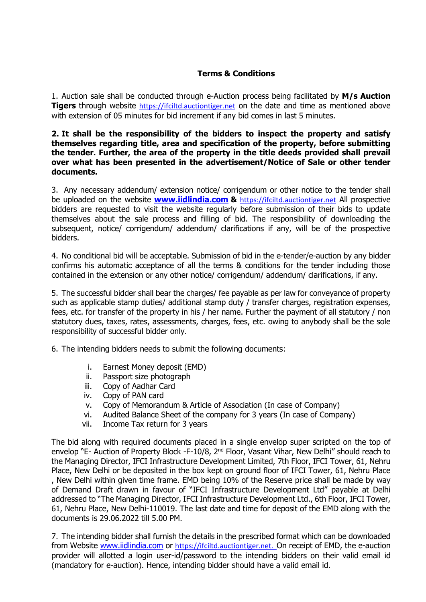## **Terms & Conditions**

1. Auction sale shall be conducted through e-Auction process being facilitated by **M/s Auction Tigers** through website [https://ifciltd.auctiontiger.net](https://ifciltd.auctiontiger.net/) on the date and time as mentioned above with extension of 05 minutes for bid increment if any bid comes in last 5 minutes.

#### **2. It shall be the responsibility of the bidders to inspect the property and satisfy themselves regarding title, area and specification of the property, before submitting the tender. Further, the area of the property in the title deeds provided shall prevail over what has been presented in the advertisement/Notice of Sale or other tender documents.**

3. Any necessary addendum/ extension notice/ corrigendum or other notice to the tender shall be uploaded on the website **[www.iidlindia.com](http://www.iidlindia.com/) &** [https://ifciltd.auctiontiger.net](https://ifciltd.auctiontiger.net/) All prospective bidders are requested to visit the website regularly before submission of their bids to update themselves about the sale process and filling of bid. The responsibility of downloading the subsequent, notice/ corrigendum/ addendum/ clarifications if any, will be of the prospective bidders.

4. No conditional bid will be acceptable. Submission of bid in the e-tender/e-auction by any bidder confirms his automatic acceptance of all the terms & conditions for the tender including those contained in the extension or any other notice/ corrigendum/ addendum/ clarifications, if any.

5. The successful bidder shall bear the charges/ fee payable as per law for conveyance of property such as applicable stamp duties/ additional stamp duty / transfer charges, registration expenses, fees, etc. for transfer of the property in his / her name. Further the payment of all statutory / non statutory dues, taxes, rates, assessments, charges, fees, etc. owing to anybody shall be the sole responsibility of successful bidder only.

6. The intending bidders needs to submit the following documents:

- i. Earnest Money deposit (EMD)
- ii. Passport size photograph
- iii. Copy of Aadhar Card
- iv. Copy of PAN card
- v. Copy of Memorandum & Article of Association (In case of Company)
- vi. Audited Balance Sheet of the company for 3 years (In case of Company)
- vii. Income Tax return for 3 years

The bid along with required documents placed in a single envelop super scripted on the top of envelop "E- Auction of Property Block -F-10/8, 2<sup>nd</sup> Floor, Vasant Vihar, New Delhi" should reach to the Managing Director, IFCI Infrastructure Development Limited, 7th Floor, IFCI Tower, 61, Nehru Place, New Delhi or be deposited in the box kept on ground floor of IFCI Tower, 61, Nehru Place , New Delhi within given time frame. EMD being 10% of the Reserve price shall be made by way of Demand Draft drawn in favour of "IFCI Infrastructure Development Ltd" payable at Delhi addressed to "The Managing Director, IFCI Infrastructure Development Ltd., 6th Floor, IFCI Tower, 61, Nehru Place, New Delhi-110019. The last date and time for deposit of the EMD along with the documents is 29.06.2022 till 5.00 PM.

7. The intending bidder shall furnish the details in the prescribed format which can be downloaded from Website [www.iidlindia.com](http://www.iidlindia.com/) or [https://ifciltd.auctiontiger.net.](https://ifciltd.auctiontiger.net/) On receipt of EMD, the e-auction provider will allotted a login user-id/password to the intending bidders on their valid email id (mandatory for e-auction). Hence, intending bidder should have a valid email id.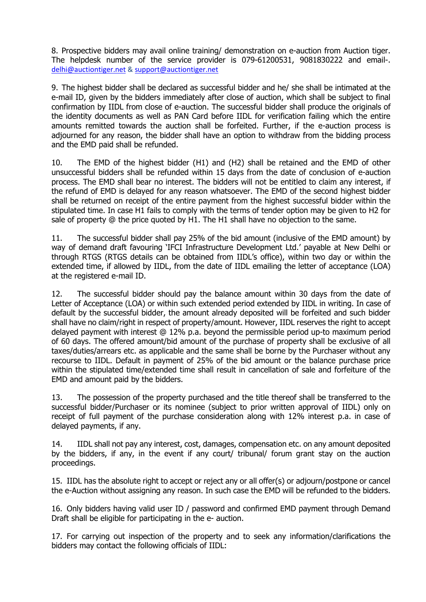8. Prospective bidders may avail online training/ demonstration on e-auction from Auction tiger. The helpdesk number of the service provider is 079-61200531, 9081830222 and email-. [delhi@auctiontiger.net](mailto:delhi@auctiontiger.net) & [support@auctiontiger.net](mailto:support@auctiontiger.net)

9. The highest bidder shall be declared as successful bidder and he/ she shall be intimated at the e-mail ID, given by the bidders immediately after close of auction, which shall be subject to final confirmation by IIDL from close of e-auction. The successful bidder shall produce the originals of the identity documents as well as PAN Card before IIDL for verification failing which the entire amounts remitted towards the auction shall be forfeited. Further, if the e-auction process is adjourned for any reason, the bidder shall have an option to withdraw from the bidding process and the EMD paid shall be refunded.

10. The EMD of the highest bidder (H1) and (H2) shall be retained and the EMD of other unsuccessful bidders shall be refunded within 15 days from the date of conclusion of e-auction process. The EMD shall bear no interest. The bidders will not be entitled to claim any interest, if the refund of EMD is delayed for any reason whatsoever. The EMD of the second highest bidder shall be returned on receipt of the entire payment from the highest successful bidder within the stipulated time. In case H1 fails to comply with the terms of tender option may be given to H2 for sale of property @ the price quoted by H1. The H1 shall have no objection to the same.

11. The successful bidder shall pay 25% of the bid amount (inclusive of the EMD amount) by way of demand draft favouring 'IFCI Infrastructure Development Ltd.' payable at New Delhi or through RTGS (RTGS details can be obtained from IIDL's office), within two day or within the extended time, if allowed by IIDL, from the date of IIDL emailing the letter of acceptance (LOA) at the registered e-mail ID.

12. The successful bidder should pay the balance amount within 30 days from the date of Letter of Acceptance (LOA) or within such extended period extended by IIDL in writing. In case of default by the successful bidder, the amount already deposited will be forfeited and such bidder shall have no claim/right in respect of property/amount. However, IIDL reserves the right to accept delayed payment with interest @ 12% p.a. beyond the permissible period up-to maximum period of 60 days. The offered amount/bid amount of the purchase of property shall be exclusive of all taxes/duties/arrears etc. as applicable and the same shall be borne by the Purchaser without any recourse to IIDL. Default in payment of 25% of the bid amount or the balance purchase price within the stipulated time/extended time shall result in cancellation of sale and forfeiture of the EMD and amount paid by the bidders.

13. The possession of the property purchased and the title thereof shall be transferred to the successful bidder/Purchaser or its nominee (subject to prior written approval of IIDL) only on receipt of full payment of the purchase consideration along with 12% interest p.a. in case of delayed payments, if any.

14. IIDL shall not pay any interest, cost, damages, compensation etc. on any amount deposited by the bidders, if any, in the event if any court/ tribunal/ forum grant stay on the auction proceedings.

15. IIDL has the absolute right to accept or reject any or all offer(s) or adjourn/postpone or cancel the e-Auction without assigning any reason. In such case the EMD will be refunded to the bidders.

16. Only bidders having valid user ID / password and confirmed EMD payment through Demand Draft shall be eligible for participating in the e- auction.

17. For carrying out inspection of the property and to seek any information/clarifications the bidders may contact the following officials of IIDL: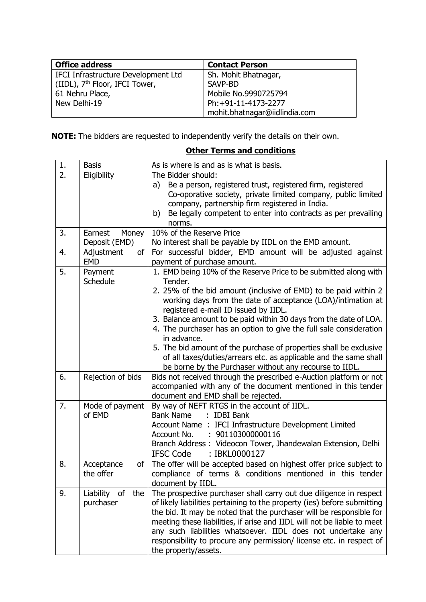| <b>Office address</b>                      | <b>Contact Person</b>         |  |
|--------------------------------------------|-------------------------------|--|
| IFCI Infrastructure Development Ltd        | Sh. Mohit Bhatnagar,          |  |
| (IIDL), 7 <sup>th</sup> Floor, IFCI Tower, | SAVP-BD                       |  |
| 61 Nehru Place,                            | Mobile No.9990725794          |  |
| New Delhi-19                               | Ph:+91-11-4173-2277           |  |
|                                            | mohit.bhatnagar@iidlindia.com |  |

**NOTE:** The bidders are requested to independently verify the details on their own.

| 1. | <b>Basis</b>                      | As is where is and as is what is basis.                                                                                                                                                                                                                                                                                                                                                                                                                                                                                                                                                                                |
|----|-----------------------------------|------------------------------------------------------------------------------------------------------------------------------------------------------------------------------------------------------------------------------------------------------------------------------------------------------------------------------------------------------------------------------------------------------------------------------------------------------------------------------------------------------------------------------------------------------------------------------------------------------------------------|
| 2. | Eligibility                       | The Bidder should:<br>Be a person, registered trust, registered firm, registered<br>a)<br>Co-oporative society, private limited company, public limited<br>company, partnership firm registered in India.<br>Be legally competent to enter into contracts as per prevailing<br>b)<br>norms.                                                                                                                                                                                                                                                                                                                            |
| 3. | Earnest<br>Money<br>Deposit (EMD) | 10% of the Reserve Price<br>No interest shall be payable by IIDL on the EMD amount.                                                                                                                                                                                                                                                                                                                                                                                                                                                                                                                                    |
| 4. | Adjustment<br>of<br><b>EMD</b>    | For successful bidder, EMD amount will be adjusted against<br>payment of purchase amount.                                                                                                                                                                                                                                                                                                                                                                                                                                                                                                                              |
| 5. | Payment<br>Schedule               | 1. EMD being 10% of the Reserve Price to be submitted along with<br>Tender.<br>2. 25% of the bid amount (inclusive of EMD) to be paid within 2<br>working days from the date of acceptance (LOA)/intimation at<br>registered e-mail ID issued by IIDL.<br>3. Balance amount to be paid within 30 days from the date of LOA.<br>4. The purchaser has an option to give the full sale consideration<br>in advance.<br>5. The bid amount of the purchase of properties shall be exclusive<br>of all taxes/duties/arrears etc. as applicable and the same shall<br>be borne by the Purchaser without any recourse to IIDL. |
| 6. | Rejection of bids                 | Bids not received through the prescribed e-Auction platform or not<br>accompanied with any of the document mentioned in this tender<br>document and EMD shall be rejected.                                                                                                                                                                                                                                                                                                                                                                                                                                             |
| 7. | Mode of payment<br>of EMD         | By way of NEFT RTGS in the account of IIDL.<br>: IDBI Bank<br><b>Bank Name</b><br>Account Name : IFCI Infrastructure Development Limited<br>: 901103000000116<br>Account No.<br>Branch Address: Videocon Tower, Jhandewalan Extension, Delhi<br><b>IFSC Code</b><br>: IBKL0000127                                                                                                                                                                                                                                                                                                                                      |
| 8. | Acceptance<br>of<br>the offer     | The offer will be accepted based on highest offer price subject to<br>compliance of terms & conditions mentioned in this tender<br>document by IIDL.                                                                                                                                                                                                                                                                                                                                                                                                                                                                   |
| 9. | Liability of<br>the<br>purchaser  | The prospective purchaser shall carry out due diligence in respect<br>of likely liabilities pertaining to the property (ies) before submitting<br>the bid. It may be noted that the purchaser will be responsible for<br>meeting these liabilities, if arise and IIDL will not be liable to meet<br>any such liabilities whatsoever. IIDL does not undertake any<br>responsibility to procure any permission/ license etc. in respect of<br>the property/assets.                                                                                                                                                       |

# **Other Terms and conditions**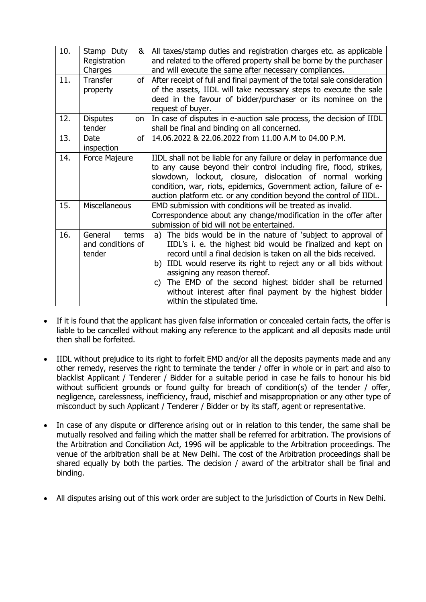| 10. | Stamp Duty<br>&<br>Registration<br>Charges      | All taxes/stamp duties and registration charges etc. as applicable<br>and related to the offered property shall be borne by the purchaser<br>and will execute the same after necessary compliances.                                                                                                                                                                                                                                                                 |
|-----|-------------------------------------------------|---------------------------------------------------------------------------------------------------------------------------------------------------------------------------------------------------------------------------------------------------------------------------------------------------------------------------------------------------------------------------------------------------------------------------------------------------------------------|
| 11. | <b>Transfer</b><br>of I<br>property             | After receipt of full and final payment of the total sale consideration<br>of the assets, IIDL will take necessary steps to execute the sale<br>deed in the favour of bidder/purchaser or its nominee on the<br>request of buyer.                                                                                                                                                                                                                                   |
| 12. | <b>Disputes</b><br>on<br>tender                 | In case of disputes in e-auction sale process, the decision of IIDL<br>shall be final and binding on all concerned.                                                                                                                                                                                                                                                                                                                                                 |
| 13. | Date<br>of<br>inspection                        | 14.06.2022 & 22.06.2022 from 11.00 A.M to 04.00 P.M.                                                                                                                                                                                                                                                                                                                                                                                                                |
| 14. | Force Majeure                                   | IIDL shall not be liable for any failure or delay in performance due<br>to any cause beyond their control including fire, flood, strikes,<br>slowdown, lockout, closure, dislocation of normal working<br>condition, war, riots, epidemics, Government action, failure of e-<br>auction platform etc. or any condition beyond the control of IIDL.                                                                                                                  |
| 15. | Miscellaneous                                   | EMD submission with conditions will be treated as invalid.<br>Correspondence about any change/modification in the offer after<br>submission of bid will not be entertained.                                                                                                                                                                                                                                                                                         |
| 16. | General<br>terms<br>and conditions of<br>tender | The bids would be in the nature of 'subject to approval of<br>a)<br>IIDL's i. e. the highest bid would be finalized and kept on<br>record until a final decision is taken on all the bids received.<br>b) IIDL would reserve its right to reject any or all bids without<br>assigning any reason thereof.<br>c) The EMD of the second highest bidder shall be returned<br>without interest after final payment by the highest bidder<br>within the stipulated time. |

- If it is found that the applicant has given false information or concealed certain facts, the offer is liable to be cancelled without making any reference to the applicant and all deposits made until then shall be forfeited.
- IIDL without prejudice to its right to forfeit EMD and/or all the deposits payments made and any other remedy, reserves the right to terminate the tender / offer in whole or in part and also to blacklist Applicant / Tenderer / Bidder for a suitable period in case he fails to honour his bid without sufficient grounds or found quilty for breach of condition(s) of the tender / offer, negligence, carelessness, inefficiency, fraud, mischief and misappropriation or any other type of misconduct by such Applicant / Tenderer / Bidder or by its staff, agent or representative.
- In case of any dispute or difference arising out or in relation to this tender, the same shall be mutually resolved and failing which the matter shall be referred for arbitration. The provisions of the Arbitration and Conciliation Act, 1996 will be applicable to the Arbitration proceedings. The venue of the arbitration shall be at New Delhi. The cost of the Arbitration proceedings shall be shared equally by both the parties. The decision / award of the arbitrator shall be final and binding.
- All disputes arising out of this work order are subject to the jurisdiction of Courts in New Delhi.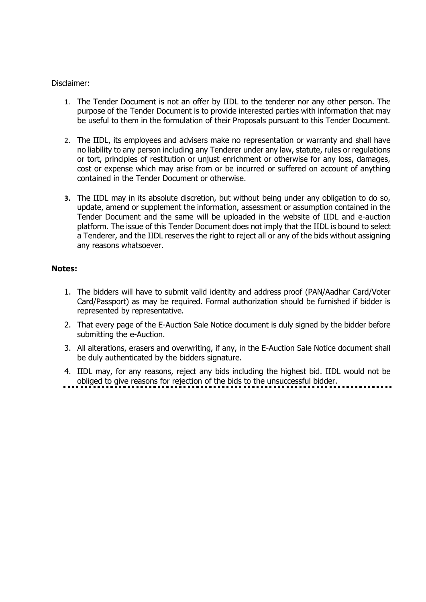#### Disclaimer:

- 1. The Tender Document is not an offer by IIDL to the tenderer nor any other person. The purpose of the Tender Document is to provide interested parties with information that may be useful to them in the formulation of their Proposals pursuant to this Tender Document.
- 2. The IIDL, its employees and advisers make no representation or warranty and shall have no liability to any person including any Tenderer under any law, statute, rules or regulations or tort, principles of restitution or unjust enrichment or otherwise for any loss, damages, cost or expense which may arise from or be incurred or suffered on account of anything contained in the Tender Document or otherwise.
- **3.** The IIDL may in its absolute discretion, but without being under any obligation to do so, update, amend or supplement the information, assessment or assumption contained in the Tender Document and the same will be uploaded in the website of IIDL and e-auction platform. The issue of this Tender Document does not imply that the IIDL is bound to select a Tenderer, and the IIDL reserves the right to reject all or any of the bids without assigning any reasons whatsoever.

#### **Notes:**

- 1. The bidders will have to submit valid identity and address proof (PAN/Aadhar Card/Voter Card/Passport) as may be required. Formal authorization should be furnished if bidder is represented by representative.
- 2. That every page of the E-Auction Sale Notice document is duly signed by the bidder before submitting the e-Auction.
- 3. All alterations, erasers and overwriting, if any, in the E-Auction Sale Notice document shall be duly authenticated by the bidders signature.
- 4. IIDL may, for any reasons, reject any bids including the highest bid. IIDL would not be obliged to give reasons for rejection of the bids to the unsuccessful bidder.
-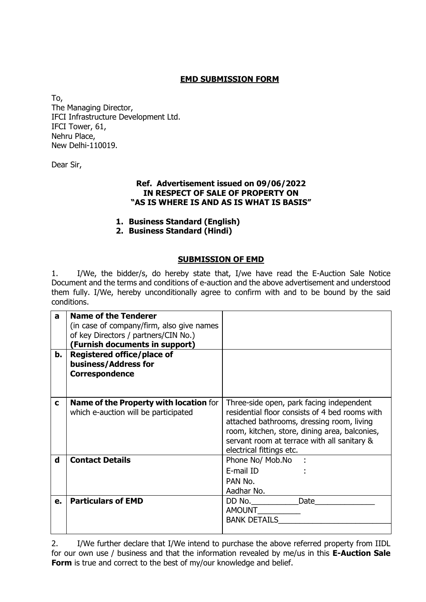# **EMD SUBMISSION FORM**

To, The Managing Director, IFCI Infrastructure Development Ltd. IFCI Tower, 61, Nehru Place, New Delhi-110019.

Dear Sir,

#### **Ref. Advertisement issued on 09/06/2022 IN RESPECT OF SALE OF PROPERTY ON "AS IS WHERE IS AND AS IS WHAT IS BASIS"**

- **1. Business Standard (English)**
- **2. Business Standard (Hindi)**

#### **SUBMISSION OF EMD**

1. I/We, the bidder/s, do hereby state that, I/we have read the E-Auction Sale Notice Document and the terms and conditions of e-auction and the above advertisement and understood them fully. I/We, hereby unconditionally agree to confirm with and to be bound by the said conditions.

| a           | <b>Name of the Tenderer</b>                   |                                                |
|-------------|-----------------------------------------------|------------------------------------------------|
|             | (in case of company/firm, also give names     |                                                |
|             | of key Directors / partners/CIN No.)          |                                                |
|             | (Furnish documents in support)                |                                                |
| b.          | Registered office/place of                    |                                                |
|             | business/Address for                          |                                                |
|             | <b>Correspondence</b>                         |                                                |
|             |                                               |                                                |
|             |                                               |                                                |
| C           | <b>Name of the Property with location for</b> | Three-side open, park facing independent       |
|             | which e-auction will be participated          | residential floor consists of 4 bed rooms with |
|             |                                               | attached bathrooms, dressing room, living      |
|             |                                               | room, kitchen, store, dining area, balconies,  |
|             |                                               | servant room at terrace with all sanitary &    |
|             |                                               | electrical fittings etc.                       |
| $\mathbf d$ | <b>Contact Details</b>                        | Phone No/ Mob.No :                             |
|             |                                               | E-mail ID                                      |
|             |                                               | PAN No.                                        |
|             |                                               | Aadhar No.                                     |
| e.          | <b>Particulars of EMD</b>                     | Date<br>DD No.                                 |
|             |                                               | <b>AMOUNT</b>                                  |
|             |                                               | <b>BANK DETAILS</b>                            |
|             |                                               |                                                |

2. I/We further declare that I/We intend to purchase the above referred property from IIDL for our own use / business and that the information revealed by me/us in this **E-Auction Sale Form** is true and correct to the best of my/our knowledge and belief.